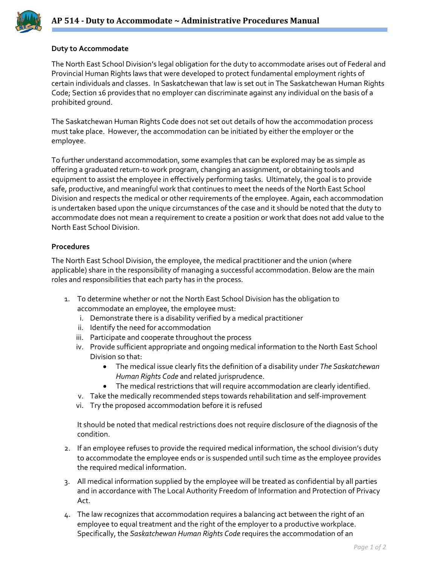

## **Duty to Accommodate**

The North East School Division's legal obligation for the duty to accommodate arises out of Federal and Provincial Human Rights laws that were developed to protect fundamental employment rights of certain individuals and classes. In Saskatchewan that law is set out in The Saskatchewan Human Rights Code; Section 16 provides that no employer can discriminate against any individual on the basis of a prohibited ground.

The Saskatchewan Human Rights Code does not set out details of how the accommodation process must take place. However, the accommodation can be initiated by either the employer or the employee.

To further understand accommodation, some examples that can be explored may be as simple as offering a graduated return-to work program, changing an assignment, or obtaining tools and equipment to assist the employee in effectively performing tasks. Ultimately, the goal is to provide safe, productive, and meaningful work that continues to meet the needs of the North East School Division and respects the medical or other requirements of the employee. Again, each accommodation is undertaken based upon the unique circumstances of the case and it should be noted that the duty to accommodate does not mean a requirement to create a position or work that does not add value to the North East School Division.

## **Procedures**

The North East School Division, the employee, the medical practitioner and the union (where applicable) share in the responsibility of managing a successful accommodation. Below are the main roles and responsibilities that each party has in the process.

- 1. To determine whether or not the North East School Division has the obligation to accommodate an employee, the employee must:
	- i. Demonstrate there is a disability verified by a medical practitioner
	- ii. Identify the need for accommodation
	- iii. Participate and cooperate throughout the process
	- iv. Provide sufficient appropriate and ongoing medical information to the North East School Division so that:
		- The medical issue clearly fits the definition of a disability under *The Saskatchewan Human Rights Code* and related jurisprudence.
		- The medical restrictions that will require accommodation are clearly identified.
	- v. Take the medically recommended steps towards rehabilitation and self-improvement
	- vi. Try the proposed accommodation before it is refused

It should be noted that medical restrictions does not require disclosure of the diagnosis of the condition.

- 2. If an employee refuses to provide the required medical information, the school division's duty to accommodate the employee ends or is suspended until such time as the employee provides the required medical information.
- 3. All medical information supplied by the employee will be treated as confidential by all parties and in accordance with The Local Authority Freedom of Information and Protection of Privacy Act.
- 4. The law recognizes that accommodation requires a balancing act between the right of an employee to equal treatment and the right of the employer to a productive workplace. Specifically, the *Saskatchewan Human Rights Code* requires the accommodation of an